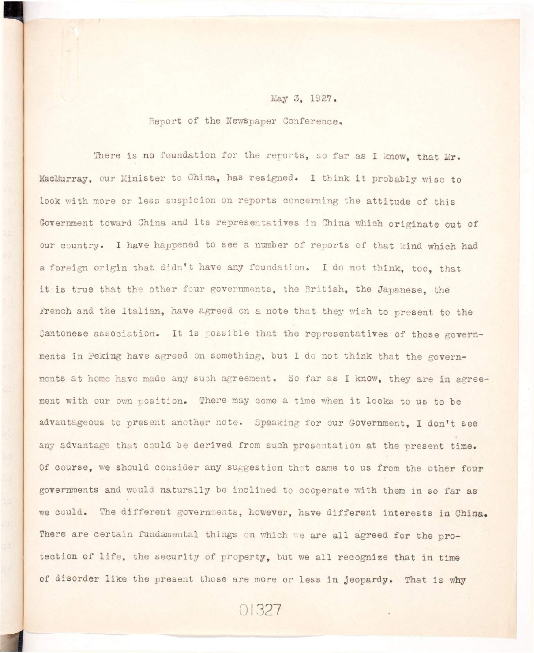## May 3, 1927.

## **Report of the Newspaper Conference.**

There is no foundation for the reports, so far as I know, that Mr. MacMurray, our Minister to China, has resigned. I think it probably wise to look with more or less suspicion on reports concerning the attitude of this Government toward China and its representatives in China which originate out of **our country. I have happened to see a number of reports of that kind which had**  a foreign origin that didn't have any foundation. I do not think, too, that it is true that the other four governments, the British, the Japanese, the French and the Italian, have agreed on a note that they wish to present to the Cantonese association. It is possible that the representatives of those governments in Peking have agreed on something, but I do not think that the governments at home have made any such agreement. So far as I know, they are in agreement with our own position. There may come a time when it looks to us to be advantageous to present another note. Speaking for our Government. I don't see any advantage that could be derived from such presentation at the present time. Of course, we should consider any suggestion that came to us from the other four governments and would naturally be inclined to cooperate with them in so far as we could. The different governments, however, have different interests in China. There are certain fundamental things on which we are all agreed for the pro**tection of life, the security of property, but we all recognize that in time** of disorder like the present those are more or less in jeopardy. That is why

01327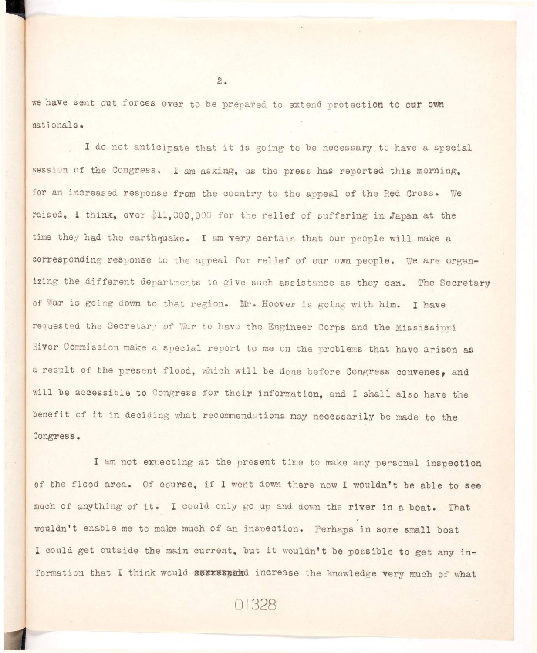we have sent out forces over to be prepared to extend protection to our own **nationals •** 

 $2.$ 

I do not anticipate that it is going to be necessary to have a special session of the Congress. I am asking, as the press has reported this morning, **for an increased response from the country to the appeal of the Red Cross. We**  raised, I think, over \$11,000,000 for the relief of suffering in Japan at the time they had the earthquake. I am very certain that our people will make a corresponding response to the appeal for relief of our own people. We are organizing the different departments to give such assistance as they can. The Secretary **of War i s going down to that region. Mr. Hoover i s going with him. I have**  requested the Secretary of War to have the Engineer Corps and the Mississippi River Commission make a special report to me on the problems that have arisen as a result of the present flood, which will be done before Congress convenes. and will be accessible to Congress for their information, and I shall also have the benefit of it in deciding what recommendations may necessarily be made to the **Congress.** 

I am not expecting at the present time to make any personal inspection of the flood area. Of course, if I went down there now I wouldn't be able to see much of anything of it. I could only go up and down the river in a boat. That wouldn't enable me to make much of an inspection. Perhaps in some small boat I could get outside the main current, but it wouldn't be possible to get any information that I think would **EUXKESBEK**d increase the knowledge very much of what

01328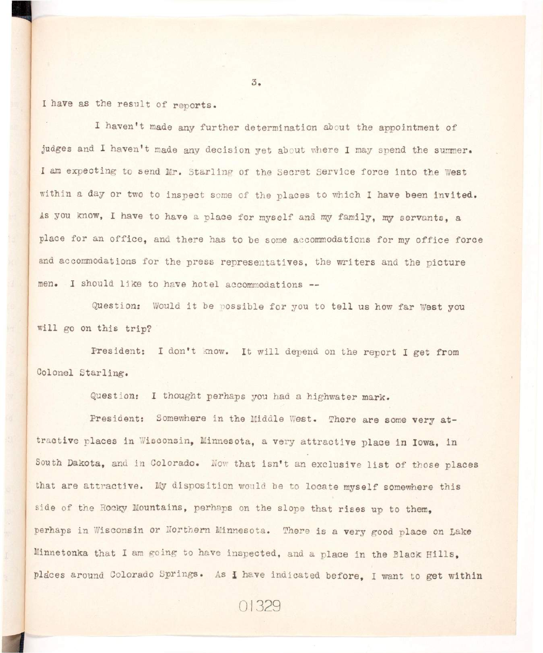I have as the result of reports.

**I haven't made any further determination about the appointment of judges and I haven't made any decision yet about where I may spend the summer.**  I am expecting to send Mr. Starling of the Secret Service force into the West **within a day or two to inspect some of the places to which I have been invited . As you know, I have to have a place for myself and my family, my servants, a**  place for an office, and there has to be some accommodations for my office force and accommodations for the press representatives, the writers and the picture men. I should like to have hotel accommodations --

Question: Would it be possible for you to tell us how far West you will go on this trip?

President: I don't know. It will depend on the report I get from **Colonel Starling .** 

**Question: I thought perhaps you had a highwater mark-**

President: Somewhere in the Middle West. There are some very attractive places in Wisconsin, Minnesota, a very attractive place in Iowa, in South Dakota, and in Colorado. Now that isn't an exclusive list of those places **that are attractive . My dispositio n would be to locate myself somewhere this**  side of the Rocky Mountains, perhaps on the slope that rises up to them, **perhaps i n Wisconsin or Northern Minnesota. There i s a very good place on Lake**  Minnetonka that I am going to have inspected, and a place in the Black Hills, **places around Colorado Springs. As I have indicated before, I want to get within** 

01329

 $3.5$